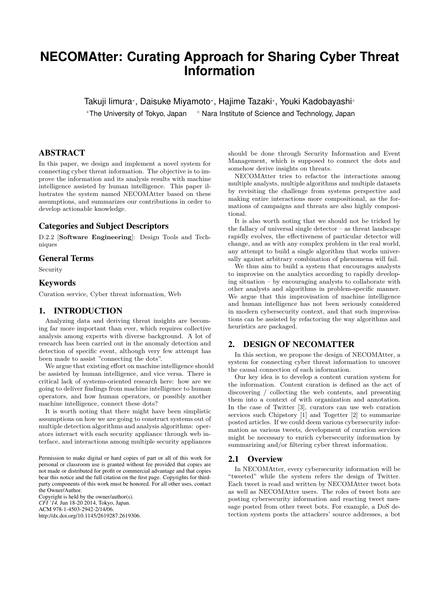# **NECOMAtter: Curating Approach for Sharing Cyber Threat Information**

Takuji Iimura*<sup>∗</sup>* , Daisuke Miyamoto*<sup>∗</sup>* , Hajime Tazaki*<sup>∗</sup>* , Youki Kadobayashi*◦ <sup>∗</sup>*The University of Tokyo, Japan *◦* Nara Institute of Science and Technology, Japan

## ABSTRACT

In this paper, we design and implement a novel system for connecting cyber threat information. The objective is to improve the information and its analysis results with machine intelligence assisted by human intelligence. This paper illustrates the system named NECOMAtter based on these assumptions, and summarizes our contributions in order to develop actionable knowledge.

## Categories and Subject Descriptors

D.2.2 [**Software Engineering**]: Design Tools and Techniques

## General Terms

Security

# Keywords

Curation service, Cyber threat information, Web

# 1. INTRODUCTION

Analyzing data and deriving threat insights are becoming far more important than ever, which requires collective analysis among experts with diverse background. A lot of research has been carried out in the anomaly detection and detection of specific event, although very few attempt has been made to assist "connecting the dots".

We argue that existing effort on machine intelligence should be assisted by human intelligence, and vice versa. There is critical lack of systems-oriented research here: how are we going to deliver findings from machine intelligence to human operators, and how human operators, or possibly another machine intelligence, connect these dots?

It is worth noting that there might have been simplistic assumptions on how we are going to construct systems out of multiple detection algorithms and analysis algorithms: operators interact with each security appliance through web interface, and interactions among multiple security appliances

Permission to make digital or hard copies of part or all of this work for personal or classroom use is granted without fee provided that copies are not made or distributed for profit or commercial advantage and that copies bear this notice and the full citation on the first page. Copyrights for thirdparty components of this work must be honored. For all other uses, contact the Owner/Author.

Copyright is held by the owner/author(s). *CFI '14,* Jun 18-20 2014, Tokyo, Japan. ACM 978-1-4503-2942-2/14/06. http://dx.doi.org/10.1145/2619287.2619306.

should be done through Security Information and Event Management, which is supposed to connect the dots and somehow derive insights on threats.

NECOMAtter tries to refactor the interactions among multiple analysts, multiple algorithms and multiple datasets by revisiting the challenge from systems perspective and making entire interactions more compositional, as the formations of campaigns and threats are also highly compositional.

It is also worth noting that we should not be tricked by the fallacy of universal single detector – as threat landscape rapidly evolves, the effectiveness of particular detector will change, and as with any complex problem in the real world, any attempt to build a single algorithm that works universally against arbitrary combination of phenomena will fail.

We thus aim to build a system that encourages analysts to improvise on the analytics according to rapidly developing situation – by encouraging analysts to collaborate with other analysts and algorithms in problem-specific manner. We argue that this improvisation of machine intelligence and human intelligence has not been seriously considered in modern cybersecurity context, and that such improvisations can be assisted by refactoring the way algorithms and heuristics are packaged.

# 2. DESIGN OF NECOMATTER

In this section, we propose the design of NECOMAtter, a system for connecting cyber threat information to uncover the causal connection of each information.

Our key idea is to develop a content curation system for the information. Content curation is defined as the act of discovering / collecting the web contents, and presenting them into a context of with organization and annotation. In the case of Twitter [3], curators can use web curation services such Chipstory [1] and Togetter [2] to summarize posted articles. If we could deem various cybersecurity information as various tweets, development of curation services might be necessary to enrich cybersecurity information by summarizing and/or filtering cyber threat information.

#### 2.1 Overview

In NECOMAtter, every cybersecurity information will be "tweeted" while the system refers the design of Twitter. Each tweet is read and written by NECOMAtter tweet bots as well as NECOMAtter users. The roles of tweet bots are posting cybersecurity information and reacting tweet message posted from other tweet bots. For example, a DoS detection system posts the attackers' source addresses, a bot